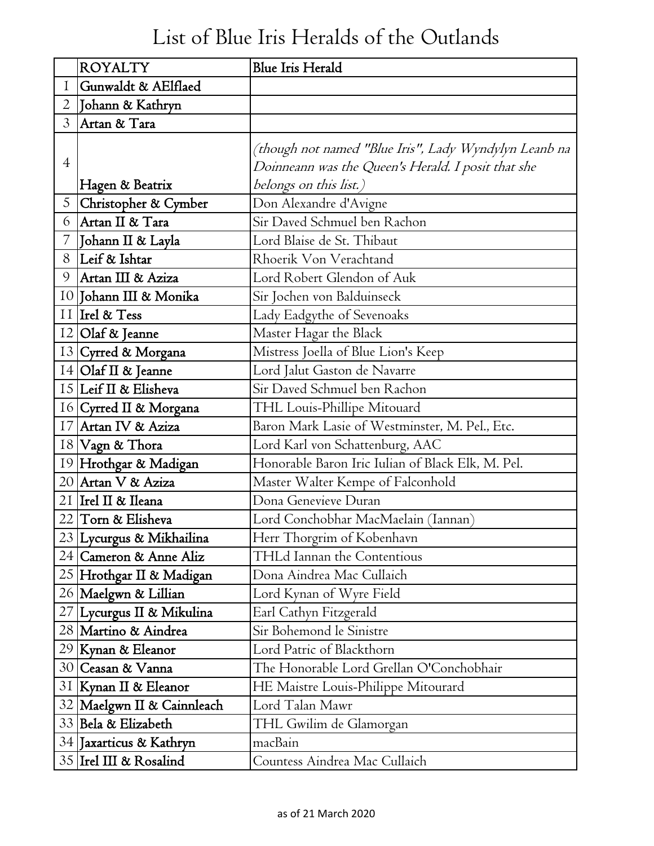## List of Blue Iris Heralds of the Outlands

|                | <b>ROYALTY</b>             | <b>Blue Iris Herald</b>                                                                                     |
|----------------|----------------------------|-------------------------------------------------------------------------------------------------------------|
| $\mathbf I$    | Gunwaldt & AElflaed        |                                                                                                             |
| $\overline{2}$ | Johann & Kathryn           |                                                                                                             |
| $\overline{3}$ | Artan & Tara               |                                                                                                             |
| $\overline{4}$ |                            | (though not named "Blue Iris", Lady Wyndylyn Leanb na<br>Doinneann was the Queen's Herald. I posit that she |
|                | Hagen & Beatrix            | belongs on this list.)                                                                                      |
|                | 5 Christopher & Cymber     | Don Alexandre d'Avigne                                                                                      |
| 6              | Artan II & Tara            | Sir Daved Schmuel ben Rachon                                                                                |
| 7              | Johann II & Layla          | Lord Blaise de St. Thibaut                                                                                  |
| 8              | Leif & Ishtar              | Rhoerik Von Verachtand                                                                                      |
| 9              | Artan III & Aziza          | Lord Robert Glendon of Auk                                                                                  |
|                | 10 Johann III & Monika     | Sir Jochen von Balduinseck                                                                                  |
|                | II Irel & Tess             | Lady Eadgythe of Sevenoaks                                                                                  |
|                | 12 Olaf & Jeanne           | Master Hagar the Black                                                                                      |
|                | 13 Cyrred & Morgana        | Mistress Joella of Blue Lion's Keep                                                                         |
|                | $14$ Olaf II & Jeanne      | Lord Jalut Gaston de Navarre                                                                                |
|                | 15 Leif II & Elisheva      | Sir Daved Schmuel ben Rachon                                                                                |
|                | 16 Cyrred II & Morgana     | THL Louis-Phillipe Mitouard                                                                                 |
|                | 17 Artan IV & Aziza        | Baron Mark Lasie of Westminster, M. Pel., Etc.                                                              |
|                | 18 Vagn & Thora            | Lord Karl von Schattenburg, AAC                                                                             |
|                | 19 Hrothgar & Madigan      | Honorable Baron Iric Iulian of Black Elk, M. Pel.                                                           |
|                | 20 Artan V & Aziza         | Master Walter Kempe of Falconhold                                                                           |
|                | 21 Irel II & Ileana        | Dona Genevieve Duran                                                                                        |
|                | 22 Torn & Elisheva         | Lord Conchobhar MacMaelain (Iannan)                                                                         |
|                | 23 Lycurgus & Mikhailina   | Herr Thorgrim of Kobenhavn                                                                                  |
|                | 24   Cameron & Anne Aliz   | <b>THLd Iannan the Contentious</b>                                                                          |
|                | 25  Hrothgar II & Madigan  | Dona Aindrea Mac Cullaich                                                                                   |
|                | 26 Maelgwn & Lillian       | Lord Kynan of Wyre Field                                                                                    |
|                | 27 Lycurgus II & Mikulina  | Earl Cathyn Fitzgerald                                                                                      |
|                | 28 Martino & Aindrea       | Sir Bohemond le Sinistre                                                                                    |
|                | 29   Kynan & Eleanor       | Lord Patric of Blackthorn                                                                                   |
|                | 30 Ceasan & Vanna          | The Honorable Lord Grellan O'Conchobhair                                                                    |
|                | 31 Kynan II & Eleanor      | HE Maistre Louis-Philippe Mitourard                                                                         |
|                | 32 Maelgwn II & Cainnleach | Lord Talan Mawr                                                                                             |
|                | 33 Bela & Elizabeth        | THL Gwilim de Glamorgan                                                                                     |
|                | 34 Jaxarticus & Kathryn    | macBain                                                                                                     |
|                | 35   Irel III & Rosalind   | Countess Aindrea Mac Cullaich                                                                               |